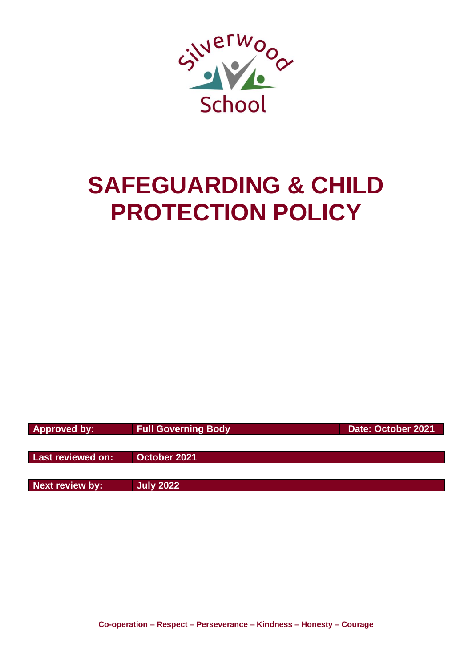

# **SAFEGUARDING & CHILD PROTECTION POLICY**

**Approved by:** Full Governing Body **Date: October 2021** 

**Last reviewed on: October 2021**

**Next review by: July 2022**

**Co-operation – Respect – Perseverance – Kindness – Honesty – Courage**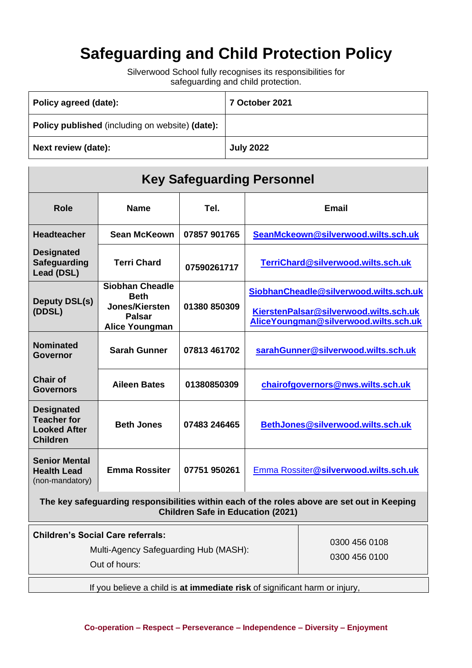# **Safeguarding and Child Protection Policy**

Silverwood School fully recognises its responsibilities for safeguarding and child protection.

| Policy agreed (date):                           | 7 October 2021   |
|-------------------------------------------------|------------------|
| Policy published (including on website) (date): |                  |
| Next review (date):                             | <b>July 2022</b> |

| <b>Key Safeguarding Personnel</b>                                                 |                                                                                                   |              |                                                                                                                           |  |
|-----------------------------------------------------------------------------------|---------------------------------------------------------------------------------------------------|--------------|---------------------------------------------------------------------------------------------------------------------------|--|
| <b>Role</b>                                                                       | <b>Name</b>                                                                                       | Tel.         | <b>Email</b>                                                                                                              |  |
| <b>Headteacher</b>                                                                | <b>Sean McKeown</b>                                                                               | 07857 901765 | SeanMckeown@silverwood.wilts.sch.uk                                                                                       |  |
| <b>Designated</b><br><b>Safeguarding</b><br>Lead (DSL)                            | <b>Terri Chard</b>                                                                                | 07590261717  | TerriChard@silverwood.wilts.sch.uk                                                                                        |  |
| <b>Deputy DSL(s)</b><br>(DDSL)                                                    | <b>Siobhan Cheadle</b><br><b>Beth</b><br>Jones/Kiersten<br><b>Palsar</b><br><b>Alice Youngman</b> | 01380 850309 | SiobhanCheadle@silverwood.wilts.sch.uk<br>KierstenPalsar@silverwood.wilts.sch.uk<br>AliceYoungman@silverwood.wilts.sch.uk |  |
| <b>Nominated</b><br>Governor                                                      | <b>Sarah Gunner</b>                                                                               | 07813 461702 | sarahGunner@silverwood.wilts.sch.uk                                                                                       |  |
| <b>Chair of</b><br><b>Governors</b>                                               | <b>Aileen Bates</b>                                                                               | 01380850309  | chairofgovernors@nws.wilts.sch.uk                                                                                         |  |
| <b>Designated</b><br><b>Teacher for</b><br><b>Looked After</b><br><b>Children</b> | <b>Beth Jones</b>                                                                                 | 07483 246465 | BethJones@silverwood.wilts.sch.uk                                                                                         |  |
| <b>Senior Mental</b><br><b>Health Lead</b><br>(non-mandatory)                     | <b>Emma Rossiter</b>                                                                              | 07751 950261 | Emma Rossiter@silverwood.wilts.sch.uk                                                                                     |  |

**The key safeguarding responsibilities within each of the roles above are set out in Keeping Children Safe in Education (2021)**

| <b>Children's Social Care referrals:</b><br>Multi-Agency Safeguarding Hub (MASH):<br>Out of hours: | 0300 456 0108<br>0300 456 0100 |  |
|----------------------------------------------------------------------------------------------------|--------------------------------|--|
| If you believe a child is at immediate risk of significant harm or injury,                         |                                |  |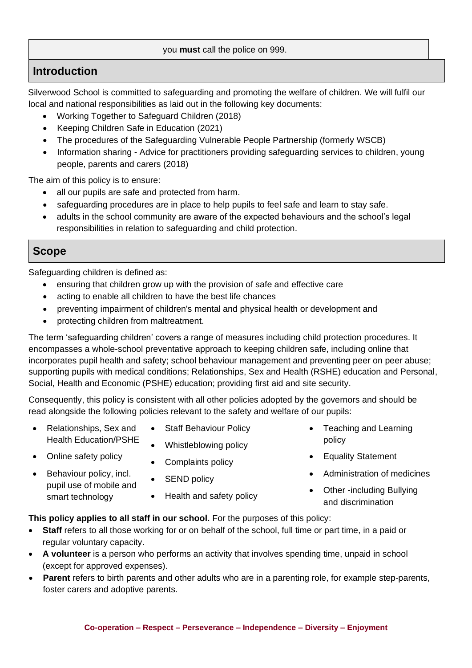#### you **must** call the police on 999.

# **Introduction**

Silverwood School is committed to safeguarding and promoting the welfare of children. We will fulfil our local and national responsibilities as laid out in the following key documents:

- Working Together to Safeguard Children (2018)
- Keeping Children Safe in Education (2021)
- [The procedures of the](http://www.proceduresonline.com/birmingham/scb/) Safeguarding Vulnerable People Partnership (formerly WSCB)
- Information sharing Advice for practitioners providing safeguarding services to children, young people, parents and carers (2018)

The aim of this policy is to ensure:

- all our pupils are safe and protected from harm.
- safeguarding procedures are in place to help pupils to feel safe and learn to stay safe.
- adults in the school community are aware of the expected behaviours and the school's legal responsibilities in relation to safeguarding and child protection.

## **Scope**

Safeguarding children is defined as:

- ensuring that children grow up with the provision of safe and effective care
- acting to enable all children to have the best life chances
- preventing impairment of children's mental and physical health or development and
- protecting children from maltreatment.

The term 'safeguarding children' covers a range of measures including child protection procedures. It encompasses a whole-school preventative approach to keeping children safe, including online that incorporates pupil health and safety; school behaviour management and preventing peer on peer abuse; supporting pupils with medical conditions; Relationships, Sex and Health (RSHE) education and Personal, Social, Health and Economic (PSHE) education; providing first aid and site security.

Consequently, this policy is consistent with all other policies adopted by the governors and should be read alongside the following policies relevant to the safety and welfare of our pupils:

- Relationships, Sex and Health Education/PSHE
- Online safety policy
- Behaviour policy, incl. pupil use of mobile and smart technology
- Staff Behaviour Policy
- Whistleblowing policy
- Complaints policy
- SEND policy
- Health and safety policy
- Teaching and Learning policy
- Equality Statement
- Administration of medicines
- Other -including Bullying and discrimination

#### **This policy applies to all staff in our school.** For the purposes of this policy:

- **Staff** refers to all those working for or on behalf of the school, full time or part time, in a paid or regular voluntary capacity.
- **A volunteer** is a person who performs an activity that involves spending time, unpaid in school (except for approved expenses).
- **Parent** refers to birth parents and other adults who are in a parenting role, for example step-parents, foster carers and adoptive parents.

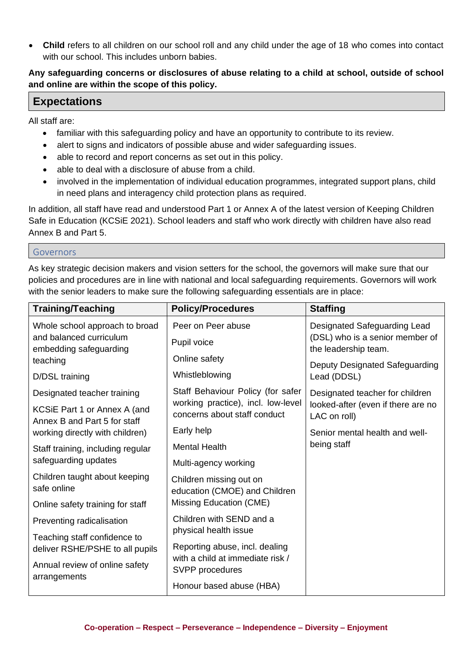• **Child** refers to all children on our school roll and any child under the age of 18 who comes into contact with our school. This includes unborn babies.

#### **Any safeguarding concerns or disclosures of abuse relating to a child at school, outside of school and online are within the scope of this policy.**

### **Expectations**

All staff are:

- familiar with this safeguarding policy and have an opportunity to contribute to its review.
- alert to signs and indicators of possible abuse and wider safeguarding issues.
- able to record and report concerns as set out in this policy.
- able to deal with a disclosure of abuse from a child.
- involved in the implementation of individual education programmes, integrated support plans, child in need plans and interagency child protection plans as required.

In addition, all staff have read and understood Part 1 or Annex A of the latest version of Keeping Children Safe in Education (KCSiE 2021). School leaders and staff who work directly with children have also read Annex B and Part 5.

Governors

As key strategic decision makers and vision setters for the school, the governors will make sure that our policies and procedures are in line with national and local safeguarding requirements. Governors will work with the senior leaders to make sure the following safeguarding essentials are in place:

| <b>Training/Teaching</b>                                     | <b>Policy/Procedures</b>                                           | <b>Staffing</b>                                                 |  |
|--------------------------------------------------------------|--------------------------------------------------------------------|-----------------------------------------------------------------|--|
| Whole school approach to broad<br>and balanced curriculum    | Peer on Peer abuse<br>Pupil voice                                  | Designated Safeguarding Lead<br>(DSL) who is a senior member of |  |
| embedding safeguarding<br>teaching                           | Online safety                                                      | the leadership team.<br>Deputy Designated Safeguarding          |  |
| D/DSL training                                               | Whistleblowing                                                     | Lead (DDSL)                                                     |  |
| Designated teacher training                                  | Staff Behaviour Policy (for safer                                  | Designated teacher for children                                 |  |
| KCSiE Part 1 or Annex A (and<br>Annex B and Part 5 for staff | working practice), incl. low-level<br>concerns about staff conduct | looked-after (even if there are no<br>LAC on roll)              |  |
| working directly with children)                              | Early help                                                         | Senior mental health and well-                                  |  |
| Staff training, including regular<br>safeguarding updates    | <b>Mental Health</b>                                               | being staff                                                     |  |
|                                                              | Multi-agency working                                               |                                                                 |  |
| Children taught about keeping<br>safe online                 | Children missing out on<br>education (CMOE) and Children           |                                                                 |  |
| Online safety training for staff                             | Missing Education (CME)                                            |                                                                 |  |
| Preventing radicalisation                                    | Children with SEND and a                                           |                                                                 |  |
| Teaching staff confidence to                                 | physical health issue                                              |                                                                 |  |
| deliver RSHE/PSHE to all pupils                              | Reporting abuse, incl. dealing<br>with a child at immediate risk / |                                                                 |  |
| Annual review of online safety<br>arrangements               | SVPP procedures                                                    |                                                                 |  |
|                                                              | Honour based abuse (HBA)                                           |                                                                 |  |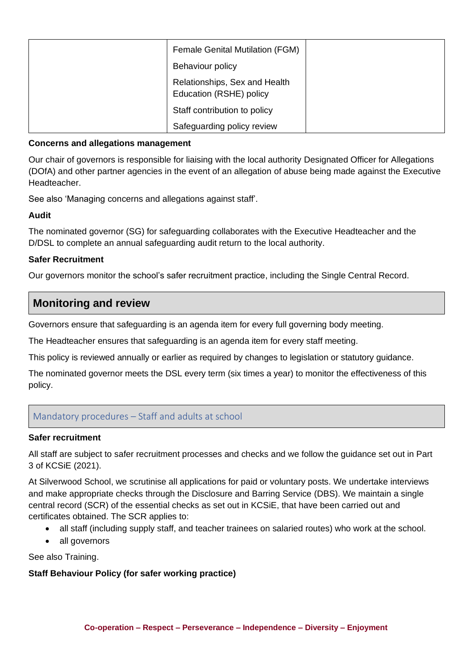| <b>Female Genital Mutilation (FGM)</b>                   |  |
|----------------------------------------------------------|--|
| Behaviour policy                                         |  |
| Relationships, Sex and Health<br>Education (RSHE) policy |  |
| Staff contribution to policy                             |  |
| Safeguarding policy review                               |  |

#### **Concerns and allegations management**

Our chair of governors is responsible for liaising with the local authority Designated Officer for Allegations (DOfA) and other partner agencies in the event of an allegation of abuse being made against the Executive Headteacher.

See also 'Managing concerns and allegations against staff'.

#### **Audit**

The nominated governor (SG) for safeguarding collaborates with the Executive Headteacher and the D/DSL to complete an annual safeguarding audit return to the local authority.

#### **Safer Recruitment**

Our governors monitor the school's safer recruitment practice, including the Single Central Record.

# **Monitoring and review**

Governors ensure that safeguarding is an agenda item for every full governing body meeting.

The Headteacher ensures that safeguarding is an agenda item for every staff meeting.

This policy is reviewed annually or earlier as required by changes to legislation or statutory guidance.

The nominated governor meets the DSL every term (six times a year) to monitor the effectiveness of this policy.

#### Mandatory procedures – Staff and adults at school

#### **Safer recruitment**

All staff are subject to safer recruitment processes and checks and we follow the guidance set out in Part 3 of KCSiE (2021).

At Silverwood School, we scrutinise all applications for paid or voluntary posts. We undertake interviews and make appropriate checks through the Disclosure and Barring Service (DBS). We maintain a single central record (SCR) of the essential checks as set out in KCSiE, that have been carried out and certificates obtained. The SCR applies to:

- all staff (including supply staff, and teacher trainees on salaried routes) who work at the school.
- all governors

See also Training.

#### **Staff Behaviour Policy (for safer working practice)**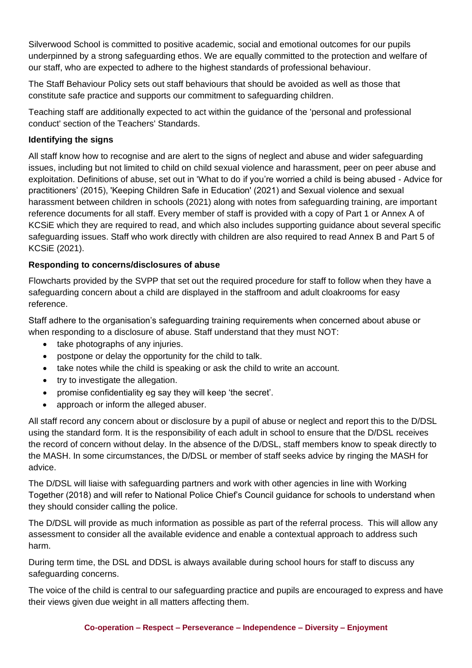Silverwood School is committed to positive academic, social and emotional outcomes for our pupils underpinned by a strong safeguarding ethos. We are equally committed to the protection and welfare of our staff, who are expected to adhere to the highest standards of professional behaviour.

The Staff Behaviour Policy sets out staff behaviours that should be avoided as well as those that constitute safe practice and supports our commitment to safeguarding children.

Teaching staff are additionally expected to act within the guidance of the 'personal and professional conduct' section of the Teachers' Standards.

#### **Identifying the signs**

All staff know how to recognise and are alert to the signs of neglect and abuse and wider safeguarding issues, including but not limited to child on child sexual violence and harassment, peer on peer abuse and exploitation. Definitions of abuse, set out in 'What to do if you're worried a child is being abused - Advice for practitioners' (2015), 'Keeping Children Safe in Education' (2021) and Sexual violence and sexual harassment between children in schools (2021) along with notes from safeguarding training, are important reference documents for all staff. Every member of staff is provided with a copy of Part 1 or Annex A of KCSiE which they are required to read, and which also includes supporting guidance about several specific safeguarding issues. Staff who work directly with children are also required to read Annex B and Part 5 of KCSiE (2021).

#### **Responding to concerns/disclosures of abuse**

Flowcharts provided by the SVPP that set out the required procedure for staff to follow when they have a safeguarding concern about a child are displayed in the staffroom and adult cloakrooms for easy reference.

Staff adhere to the organisation's safeguarding training requirements when concerned about abuse or when responding to a disclosure of abuse. Staff understand that they must NOT:

- take photographs of any injuries.
- postpone or delay the opportunity for the child to talk.
- take notes while the child is speaking or ask the child to write an account.
- try to investigate the allegation.
- promise confidentiality eg say they will keep 'the secret'.
- approach or inform the alleged abuser.

All staff record any concern about or disclosure by a pupil of abuse or neglect and report this to the D/DSL using the standard form. It is the responsibility of each adult in school to ensure that the D/DSL receives the record of concern without delay. In the absence of the D/DSL, staff members know to speak directly to the MASH. In some circumstances, the D/DSL or member of staff seeks advice by ringing the MASH for advice.

The D/DSL will liaise with safeguarding partners and work with other agencies in line with Working Together (2018) and will refer to National Police Chief's Council guidance for schools to understand when they should consider calling the police.

The D/DSL will provide as much information as possible as part of the referral process. This will allow any assessment to consider all the available evidence and enable a contextual approach to address such harm.

During term time, the DSL and DDSL is always available during school hours for staff to discuss any safeguarding concerns.

The voice of the child is central to our safeguarding practice and pupils are encouraged to express and have their views given due weight in all matters affecting them.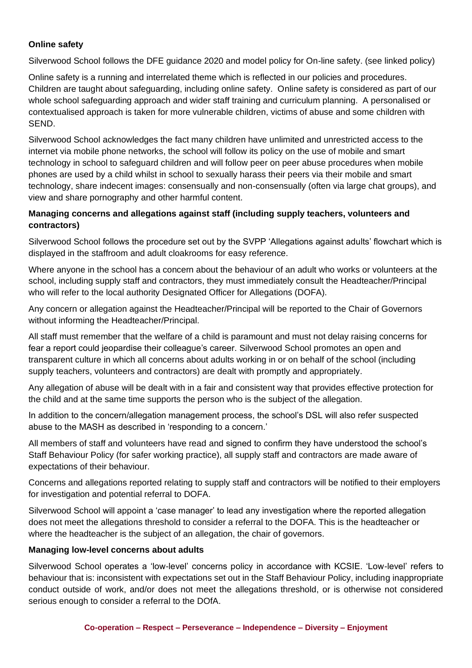#### **Online safety**

Silverwood School follows the DFE guidance 2020 and model policy for On-line safety. (see linked policy)

Online safety is a running and interrelated theme which is reflected in our policies and procedures. Children are taught about safeguarding, including online safety. Online safety is considered as part of our whole school safeguarding approach and wider staff training and curriculum planning. A personalised or contextualised approach is taken for more vulnerable children, victims of abuse and some children with SEND.

Silverwood School acknowledges the fact many children have unlimited and unrestricted access to the internet via mobile phone networks, the school will follow its policy on the use of mobile and smart technology in school to safeguard children and will follow peer on peer abuse procedures when mobile phones are used by a child whilst in school to sexually harass their peers via their mobile and smart technology, share indecent images: consensually and non-consensually (often via large chat groups), and view and share pornography and other harmful content.

#### **Managing concerns and allegations against staff (including supply teachers, volunteers and contractors)**

Silverwood School follows the procedure set out by the SVPP 'Allegations against adults' flowchart which is displayed in the staffroom and adult cloakrooms for easy reference.

Where anyone in the school has a concern about the behaviour of an adult who works or volunteers at the school, including supply staff and contractors, they must immediately consult the Headteacher/Principal who will refer to the local authority Designated Officer for Allegations (DOFA).

Any concern or allegation against the Headteacher/Principal will be reported to the Chair of Governors without informing the Headteacher/Principal.

All staff must remember that the welfare of a child is paramount and must not delay raising concerns for fear a report could jeopardise their colleague's career. Silverwood School promotes an open and transparent culture in which all concerns about adults working in or on behalf of the school (including supply teachers, volunteers and contractors) are dealt with promptly and appropriately.

Any allegation of abuse will be dealt with in a fair and consistent way that provides effective protection for the child and at the same time supports the person who is the subject of the allegation.

In addition to the concern/allegation management process, the school's DSL will also refer suspected abuse to the MASH as described in 'responding to a concern.'

All members of staff and volunteers have read and signed to confirm they have understood the school's Staff Behaviour Policy (for safer working practice), all supply staff and contractors are made aware of expectations of their behaviour.

Concerns and allegations reported relating to supply staff and contractors will be notified to their employers for investigation and potential referral to DOFA.

Silverwood School will appoint a 'case manager' to lead any investigation where the reported allegation does not meet the allegations threshold to consider a referral to the DOFA. This is the headteacher or where the headteacher is the subject of an allegation, the chair of governors.

#### **Managing low-level concerns about adults**

Silverwood School operates a 'low-level' concerns policy in accordance with KCSIE. 'Low-level' refers to behaviour that is: inconsistent with expectations set out in the Staff Behaviour Policy, including inappropriate conduct outside of work, and/or does not meet the allegations threshold, or is otherwise not considered serious enough to consider a referral to the DOfA.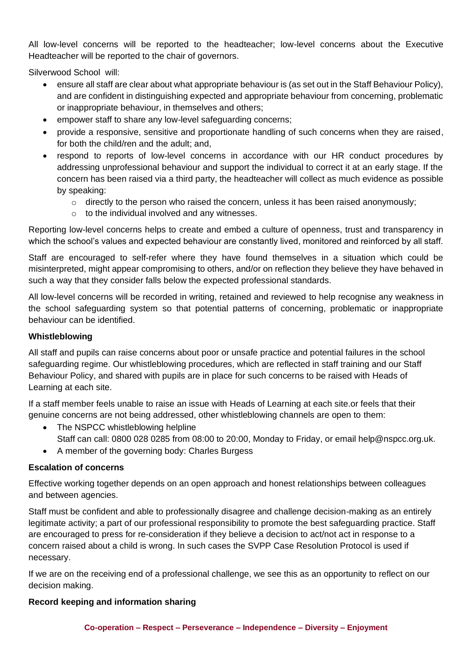All low-level concerns will be reported to the headteacher; low-level concerns about the Executive Headteacher will be reported to the chair of governors.

Silverwood School will:

- ensure all staff are clear about what appropriate behaviour is (as set out in the Staff Behaviour Policy), and are confident in distinguishing expected and appropriate behaviour from concerning, problematic or inappropriate behaviour, in themselves and others;
- empower staff to share any low-level safeguarding concerns;
- provide a responsive, sensitive and proportionate handling of such concerns when they are raised, for both the child/ren and the adult; and,
- respond to reports of low-level concerns in accordance with our HR conduct procedures by addressing unprofessional behaviour and support the individual to correct it at an early stage. If the concern has been raised via a third party, the headteacher will collect as much evidence as possible by speaking:
	- $\circ$  directly to the person who raised the concern, unless it has been raised anonymously;
	- o to the individual involved and any witnesses.

Reporting low-level concerns helps to create and embed a culture of openness, trust and transparency in which the school's values and expected behaviour are constantly lived, monitored and reinforced by all staff.

Staff are encouraged to self-refer where they have found themselves in a situation which could be misinterpreted, might appear compromising to others, and/or on reflection they believe they have behaved in such a way that they consider falls below the expected professional standards.

All low-level concerns will be recorded in writing, retained and reviewed to help recognise any weakness in the school safeguarding system so that potential patterns of concerning, problematic or inappropriate behaviour can be identified.

#### **Whistleblowing**

All staff and pupils can raise concerns about poor or unsafe practice and potential failures in the school safeguarding regime. Our whistleblowing procedures, which are reflected in staff training and our Staff Behaviour Policy, and shared with pupils are in place for such concerns to be raised with Heads of Learning at each site.

If a staff member feels unable to raise an issue with Heads of Learning at each site.or feels that their genuine concerns are not being addressed, other whistleblowing channels are open to them:

- The NSPCC whistleblowing helpline Staff can call: 0800 028 0285 from 08:00 to 20:00, Monday to Friday, or email help@nspcc.org.uk.
- A member of the governing body: Charles Burgess

#### **Escalation of concerns**

Effective working together depends on an open approach and honest relationships between colleagues and between agencies.

Staff must be confident and able to professionally disagree and challenge decision-making as an entirely legitimate activity; a part of our professional responsibility to promote the best safeguarding practice. Staff are encouraged to press for re-consideration if they believe a decision to act/not act in response to a concern raised about a child is wrong. In such cases the SVPP Case Resolution Protocol is used if necessary.

If we are on the receiving end of a professional challenge, we see this as an opportunity to reflect on our decision making.

#### **Record keeping and information sharing**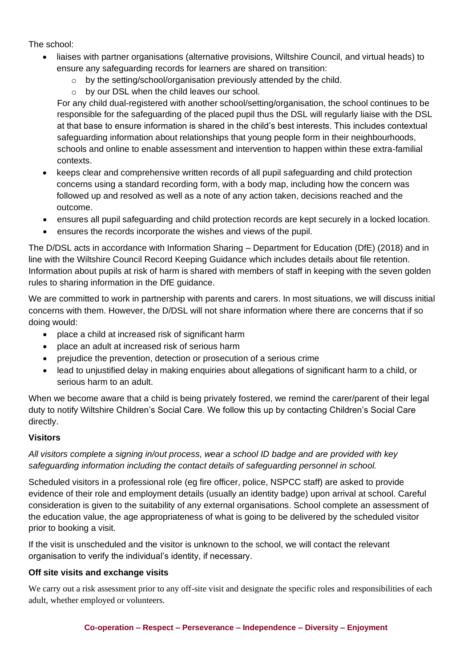The school:

- liaises with partner organisations (alternative provisions, Wiltshire Council, and virtual heads) to ensure any safeguarding records for learners are shared on transition:
	- o by the setting/school/organisation previously attended by the child.
	- o by our DSL when the child leaves our school.

For any child dual-registered with another school/setting/organisation, the school continues to be responsible for the safeguarding of the placed pupil thus the DSL will regularly liaise with the DSL at that base to ensure information is shared in the child's best interests. This includes contextual safeguarding information about relationships that young people form in their neighbourhoods, schools and online to enable assessment and intervention to happen within these extra-familial contexts.

- keeps clear and comprehensive written records of all pupil safeguarding and child protection concerns using a standard recording form, with a body map, including how the concern was followed up and resolved as well as a note of any action taken, decisions reached and the outcome.
- ensures all pupil safeguarding and child protection records are kept securely in a locked location.
- ensures the records incorporate the wishes and views of the pupil.

The D/DSL acts in accordance with Information Sharing – Department for Education (DfE) (2018) and in line with the Wiltshire Council Record Keeping Guidance which includes details about file retention. Information about pupils at risk of harm is shared with members of staff in keeping with the seven golden rules to sharing information in the DfE guidance.

We are committed to work in partnership with parents and carers. In most situations, we will discuss initial concerns with them. However, the D/DSL will not share information where there are concerns that if so doing would:

- place a child at increased risk of significant harm
- place an adult at increased risk of serious harm
- prejudice the prevention, detection or prosecution of a serious crime
- lead to unjustified delay in making enquiries about allegations of significant harm to a child, or serious harm to an adult.

When we become aware that a child is being privately fostered, we remind the carer/parent of their legal duty to notify Wiltshire Children's Social Care. We follow this up by contacting Children's Social Care directly.

#### **Visitors**

*All visitors complete a signing in/out process, wear a school ID badge and are provided with key safeguarding information including the contact details of safeguarding personnel in school.*

Scheduled visitors in a professional role (eg fire officer, police, NSPCC staff) are asked to provide evidence of their role and employment details (usually an identity badge) upon arrival at school. Careful consideration is given to the suitability of any external organisations. School complete an assessment of the education value, the age appropriateness of what is going to be delivered by the scheduled visitor prior to booking a visit.

If the visit is unscheduled and the visitor is unknown to the school, we will contact the relevant organisation to verify the individual's identity, if necessary.

#### **Off site visits and exchange visits**

We carry out a risk assessment prior to any off-site visit and designate the specific roles and responsibilities of each adult, whether employed or volunteers.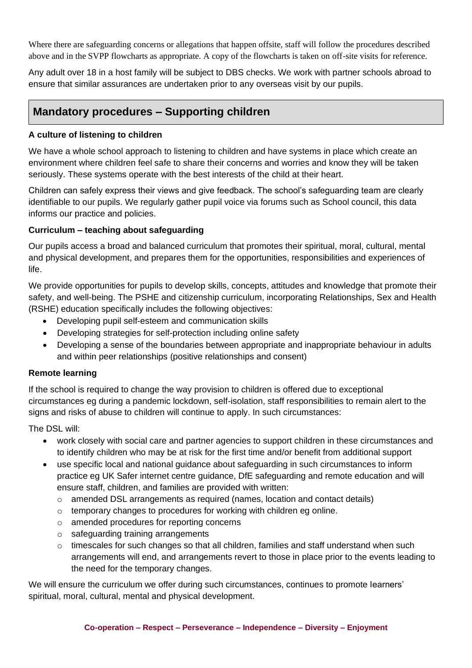Where there are safeguarding concerns or allegations that happen offsite, staff will follow the procedures described above and in the SVPP flowcharts as appropriate. A copy of the flowcharts is taken on off-site visits for reference.

Any adult over 18 in a host family will be subject to DBS checks. We work with partner schools abroad to ensure that similar assurances are undertaken prior to any overseas visit by our pupils.

# **Mandatory procedures – Supporting children**

#### **A culture of listening to children**

We have a whole school approach to listening to children and have systems in place which create an environment where children feel safe to share their concerns and worries and know they will be taken seriously. These systems operate with the best interests of the child at their heart.

Children can safely express their views and give feedback. The school's safeguarding team are clearly identifiable to our pupils. We regularly gather pupil voice via forums such as School council, this data informs our practice and policies.

#### **Curriculum – teaching about safeguarding**

Our pupils access a broad and balanced curriculum that promotes their spiritual, moral, cultural, mental and physical development, and prepares them for the opportunities, responsibilities and experiences of life.

We provide opportunities for pupils to develop skills, concepts, attitudes and knowledge that promote their safety, and well-being. The PSHE and citizenship curriculum, incorporating Relationships, Sex and Health (RSHE) education specifically includes the following objectives:

- Developing pupil self-esteem and communication skills
- Developing strategies for self-protection including online safety
- Developing a sense of the boundaries between appropriate and inappropriate behaviour in adults and within peer relationships (positive relationships and consent)

#### **Remote learning**

If the school is required to change the way provision to children is offered due to exceptional circumstances eg during a pandemic lockdown, self-isolation, staff responsibilities to remain alert to the signs and risks of abuse to children will continue to apply. In such circumstances:

The DSL will:

- work closely with social care and partner agencies to support children in these circumstances and to identify children who may be at risk for the first time and/or benefit from additional support
- use specific local and national guidance about safeguarding in such circumstances to inform practice eg UK Safer internet centre guidance, DfE safeguarding and remote education and will ensure staff, children, and families are provided with written:
	- o amended DSL arrangements as required (names, location and contact details)
	- o temporary changes to procedures for working with children eg online.
	- o amended procedures for reporting concerns
	- o safeguarding training arrangements
	- $\circ$  timescales for such changes so that all children, families and staff understand when such arrangements will end, and arrangements revert to those in place prior to the events leading to the need for the temporary changes.

We will ensure the curriculum we offer during such circumstances, continues to promote learners' spiritual, moral, cultural, mental and physical development.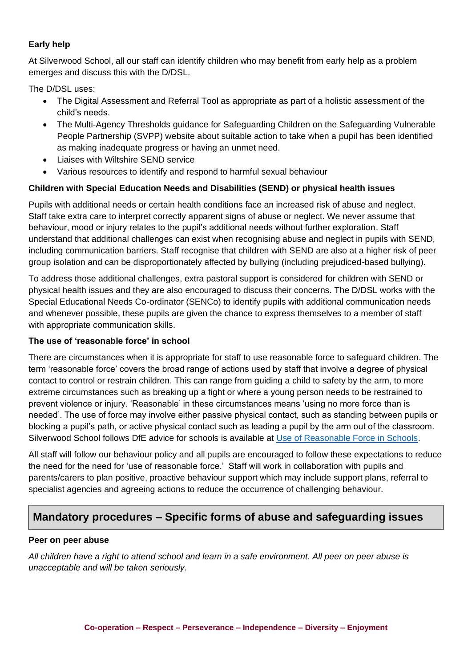#### **Early help**

At Silverwood School, all our staff can identify children who may benefit from early help as a problem emerges and discuss this with the D/DSL.

The D/DSL uses:

- The Digital Assessment and Referral Tool as appropriate as part of a holistic assessment of the child's needs.
- The Multi-Agency Thresholds guidance for Safeguarding Children on the Safeguarding Vulnerable People Partnership (SVPP) website about suitable action to take when a pupil has been identified as making inadequate progress or having an unmet need.
- Liaises with Wiltshire SEND service
- Various resources to identify and respond to harmful sexual behaviour

#### **Children with Special Education Needs and Disabilities (SEND) or physical health issues**

Pupils with additional needs or certain health conditions face an increased risk of abuse and neglect. Staff take extra care to interpret correctly apparent signs of abuse or neglect. We never assume that behaviour, mood or injury relates to the pupil's additional needs without further exploration. Staff understand that additional challenges can exist when recognising abuse and neglect in pupils with SEND, including communication barriers. Staff recognise that children with SEND are also at a higher risk of peer group isolation and can be disproportionately affected by bullying (including prejudiced-based bullying).

To address those additional challenges, extra pastoral support is considered for children with SEND or physical health issues and they are also encouraged to discuss their concerns. The D/DSL works with the Special Educational Needs Co-ordinator (SENCo) to identify pupils with additional communication needs and whenever possible, these pupils are given the chance to express themselves to a member of staff with appropriate communication skills.

#### **The use of 'reasonable force' in school**

There are circumstances when it is appropriate for staff to use reasonable force to safeguard children. The term 'reasonable force' covers the broad range of actions used by staff that involve a degree of physical contact to control or restrain children. This can range from guiding a child to safety by the arm, to more extreme circumstances such as breaking up a fight or where a young person needs to be restrained to prevent violence or injury. 'Reasonable' in these circumstances means 'using no more force than is needed'. The use of force may involve either passive physical contact, such as standing between pupils or blocking a pupil's path, or active physical contact such as leading a pupil by the arm out of the classroom. Silverwood School follows DfE advice for schools is available at [Use of Reasonable Force in Schools.](https://assets.publishing.service.gov.uk/government/uploads/system/uploads/attachment_data/file/444051/Use_of_reasonable_force_advice_Reviewed_July_2015.pdf)

All staff will follow our behaviour policy and all pupils are encouraged to follow these expectations to reduce the need for the need for 'use of reasonable force.' Staff will work in collaboration with pupils and parents/carers to plan positive, proactive behaviour support which may include support plans, referral to specialist agencies and agreeing actions to reduce the occurrence of challenging behaviour.

# **Mandatory procedures – Specific forms of abuse and safeguarding issues**

#### **Peer on peer abuse**

*All children have a right to attend school and learn in a safe environment. All peer on peer abuse is unacceptable and will be taken seriously.*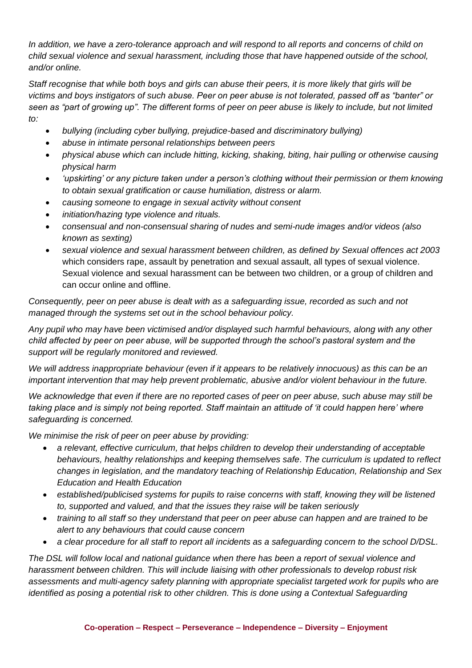*In addition, we have a zero-tolerance approach and will respond to all reports and concerns of child on child sexual violence and sexual harassment, including those that have happened outside of the school, and/or online.*

*Staff recognise that while both boys and girls can abuse their peers, it is more likely that girls will be victims and boys instigators of such abuse. Peer on peer abuse is not tolerated, passed off as "banter" or seen as "part of growing up". The different forms of peer on peer abuse is likely to include, but not limited to:* 

- *bullying (including cyber bullying, prejudice-based and discriminatory bullying)*
- *abuse in intimate personal relationships between peers*
- *physical abuse which can include hitting, kicking, shaking, biting, hair pulling or otherwise causing physical harm*
- *'upskirting' or any picture taken under a person's clothing without their permission or them knowing to obtain sexual gratification or cause humiliation, distress or alarm.*
- *causing someone to engage in sexual activity without consent*
- *initiation/hazing type violence and rituals.*
- *consensual and non-consensual sharing of nudes and semi-nude images and/or videos (also known as sexting)*
- *sexual violence and sexual harassment between children, as defined by Sexual offences act 2003*  which considers rape, assault by penetration and sexual assault, all types of sexual violence. Sexual violence and sexual harassment can be between two children, or a group of children and can occur online and offline.

*Consequently, peer on peer abuse is dealt with as a safeguarding issue, recorded as such and not managed through the systems set out in the school behaviour policy.* 

*Any pupil who may have been victimised and/or displayed such harmful behaviours, along with any other child affected by peer on peer abuse, will be supported through the school's pastoral system and the support will be regularly monitored and reviewed.* 

*We will address inappropriate behaviour (even if it appears to be relatively innocuous) as this can be an important intervention that may help prevent problematic, abusive and/or violent behaviour in the future.*

*We acknowledge that even if there are no reported cases of peer on peer abuse, such abuse may still be taking place and is simply not being reported. Staff maintain an attitude of 'it could happen here' where safeguarding is concerned.*

*We minimise the risk of peer on peer abuse by providing:*

- *a relevant, effective curriculum, that helps children to develop their understanding of acceptable behaviours, healthy relationships and keeping themselves safe. The curriculum is updated to reflect changes in legislation, and the mandatory teaching of Relationship Education, Relationship and Sex Education and Health Education*
- *established/publicised systems for pupils to raise concerns with staff, knowing they will be listened to, supported and valued, and that the issues they raise will be taken seriously*
- *training to all staff so they understand that peer on peer abuse can happen and are trained to be alert to any behaviours that could cause concern*
- *a clear procedure for all staff to report all incidents as a safeguarding concern to the school D/DSL.*

*The DSL will follow local and national guidance when there has been a report of sexual violence and harassment between children. This will include liaising with other professionals to develop robust risk assessments and multi-agency safety planning with appropriate specialist targeted work for pupils who are identified as posing a potential risk to other children. This is done using a Contextual Safeguarding*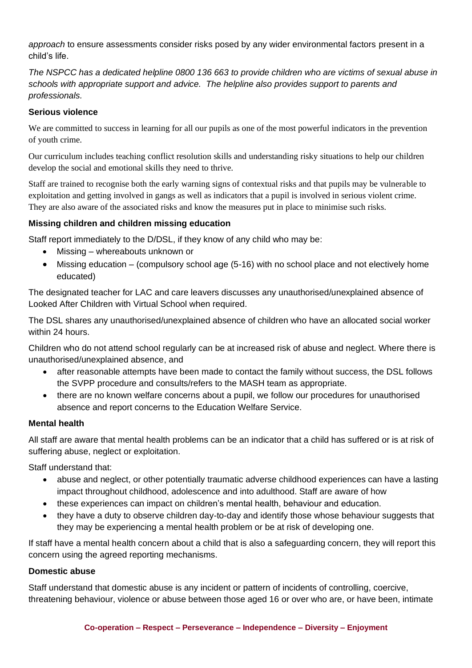*approach* to ensure assessments consider risks posed by any wider environmental factors present in a child's life.

*The NSPCC has a dedicated helpline 0800 136 663 to provide children who are victims of sexual abuse in schools with appropriate support and advice. The helpline also provides support to parents and professionals.*

#### **Serious violence**

We are committed to success in learning for all our pupils as one of the most powerful indicators in the prevention of youth crime.

Our curriculum includes teaching conflict resolution skills and understanding risky situations to help our children develop the social and emotional skills they need to thrive.

Staff are trained to recognise both the early warning signs of contextual risks and that pupils may be vulnerable to exploitation and getting involved in gangs as well as indicators that a pupil is involved in serious violent crime. They are also aware of the associated risks and know the measures put in place to minimise such risks.

#### **Missing children and children missing education**

Staff report immediately to the D/DSL, if they know of any child who may be:

- Missing whereabouts unknown or
- Missing education (compulsory school age (5-16) with no school place and not electively home educated)

The designated teacher for LAC and care leavers discusses any unauthorised/unexplained absence of Looked After Children with Virtual School when required.

The DSL shares any unauthorised/unexplained absence of children who have an allocated social worker within 24 hours.

Children who do not attend school regularly can be at increased risk of abuse and neglect. Where there is unauthorised/unexplained absence, and

- after reasonable attempts have been made to contact the family without success, the DSL follows the SVPP procedure and consults/refers to the MASH team as appropriate.
- there are no known welfare concerns about a pupil, we follow our procedures for unauthorised absence and report concerns to the Education Welfare Service.

#### **Mental health**

All staff are aware that mental health problems can be an indicator that a child has suffered or is at risk of suffering abuse, neglect or exploitation.

Staff understand that:

- abuse and neglect, or other potentially traumatic adverse childhood experiences can have a lasting impact throughout childhood, adolescence and into adulthood. Staff are aware of how
- these experiences can impact on children's mental health, behaviour and education.
- they have a duty to observe children day-to-day and identify those whose behaviour suggests that they may be experiencing a mental health problem or be at risk of developing one.

If staff have a mental health concern about a child that is also a safeguarding concern, they will report this concern using the agreed reporting mechanisms.

#### **Domestic abuse**

Staff understand that domestic abuse is any incident or pattern of incidents of controlling, coercive, threatening behaviour, violence or abuse between those aged 16 or over who are, or have been, intimate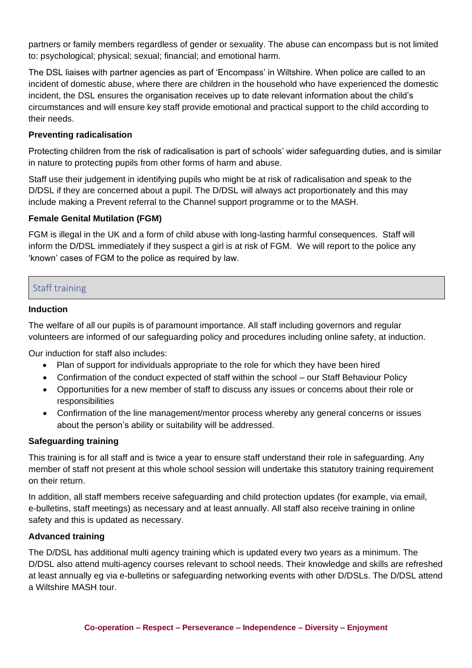partners or family members regardless of gender or sexuality. The abuse can encompass but is not limited to: psychological; physical; sexual; financial; and emotional harm.

The DSL liaises with partner agencies as part of 'Encompass' in Wiltshire. When police are called to an incident of domestic abuse, where there are children in the household who have experienced the domestic incident, the DSL ensures the organisation receives up to date relevant information about the child's circumstances and will ensure key staff provide emotional and practical support to the child according to their needs.

#### **Preventing radicalisation**

Protecting children from the risk of radicalisation is part of schools' wider safeguarding duties, and is similar in nature to protecting pupils from other forms of harm and abuse.

Staff use their judgement in identifying pupils who might be at risk of radicalisation and speak to the D/DSL if they are concerned about a pupil. The D/DSL will always act proportionately and this may include making a Prevent referral to the Channel support programme or to the MASH.

#### **Female Genital Mutilation (FGM)**

FGM is illegal in the UK and a form of child abuse with long-lasting harmful consequences. Staff will inform the D/DSL immediately if they suspect a girl is at risk of FGM. We will report to the police any 'known' cases of FGM to the police as required by law.

#### Staff training

#### **Induction**

The welfare of all our pupils is of paramount importance. All staff including governors and regular volunteers are informed of our safeguarding policy and procedures including online safety, at induction.

Our induction for staff also includes:

- Plan of support for individuals appropriate to the role for which they have been hired
- Confirmation of the conduct expected of staff within the school our Staff Behaviour Policy
- Opportunities for a new member of staff to discuss any issues or concerns about their role or responsibilities
- Confirmation of the line management/mentor process whereby any general concerns or issues about the person's ability or suitability will be addressed.

#### **Safeguarding training**

This training is for all staff and is twice a year to ensure staff understand their role in safeguarding. Any member of staff not present at this whole school session will undertake this statutory training requirement on their return.

In addition, all staff members receive safeguarding and child protection updates (for example, via email, e-bulletins, staff meetings) as necessary and at least annually. All staff also receive training in online safety and this is updated as necessary.

#### **Advanced training**

The D/DSL has additional multi agency training which is updated every two years as a minimum. The D/DSL also attend multi-agency courses relevant to school needs. Their knowledge and skills are refreshed at least annually eg via e-bulletins or safeguarding networking events with other D/DSLs. The D/DSL attend a Wiltshire MASH tour.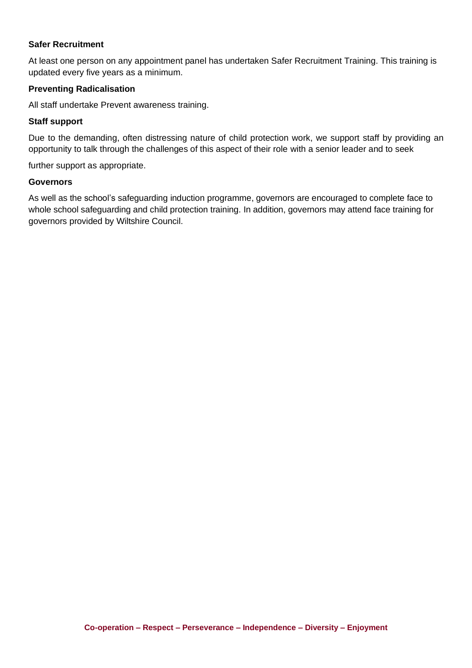#### **Safer Recruitment**

At least one person on any appointment panel has undertaken Safer Recruitment Training. This training is updated every five years as a minimum.

#### **Preventing Radicalisation**

All staff undertake Prevent awareness training.

#### **Staff support**

Due to the demanding, often distressing nature of child protection work, we support staff by providing an opportunity to talk through the challenges of this aspect of their role with a senior leader and to seek

further support as appropriate.

#### **Governors**

As well as the school's safeguarding induction programme, governors are encouraged to complete face to whole school safeguarding and child protection training. In addition, governors may attend face training for governors provided by Wiltshire Council.